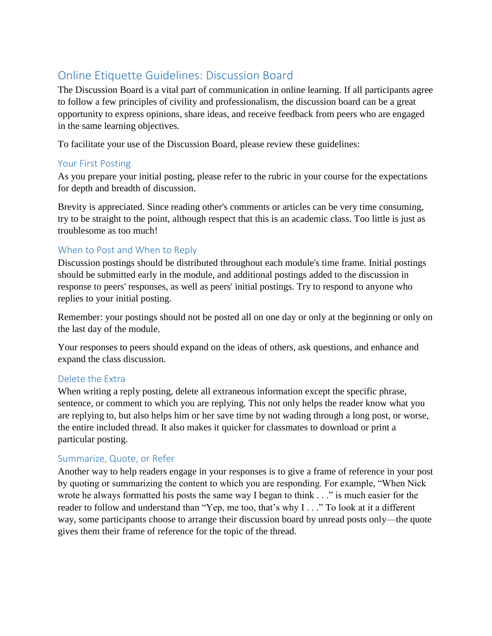# Online Etiquette Guidelines: Discussion Board

The Discussion Board is a vital part of communication in online learning. If all participants agree to follow a few principles of civility and professionalism, the discussion board can be a great opportunity to express opinions, share ideas, and receive feedback from peers who are engaged in the same learning objectives.

To facilitate your use of the Discussion Board, please review these guidelines:

#### Your First Posting

As you prepare your initial posting, please refer to the rubric in your course for the expectations for depth and breadth of discussion.

Brevity is appreciated. Since reading other's comments or articles can be very time consuming, try to be straight to the point, although respect that this is an academic class. Too little is just as troublesome as too much!

# When to Post and When to Reply

Discussion postings should be distributed throughout each module's time frame. Initial postings should be submitted early in the module, and additional postings added to the discussion in response to peers' responses, as well as peers' initial postings. Try to respond to anyone who replies to your initial posting.

Remember: your postings should not be posted all on one day or only at the beginning or only on the last day of the module.

Your responses to peers should expand on the ideas of others, ask questions, and enhance and expand the class discussion.

#### Delete the Extra

When writing a reply posting, delete all extraneous information except the specific phrase, sentence, or comment to which you are replying. This not only helps the reader know what you are replying to, but also helps him or her save time by not wading through a long post, or worse, the entire included thread. It also makes it quicker for classmates to download or print a particular posting.

#### Summarize, Quote, or Refer

Another way to help readers engage in your responses is to give a frame of reference in your post by quoting or summarizing the content to which you are responding. For example, "When Nick wrote he always formatted his posts the same way I began to think . . ." is much easier for the reader to follow and understand than "Yep, me too, that's why I . . ." To look at it a different way, some participants choose to arrange their discussion board by unread posts only—the quote gives them their frame of reference for the topic of the thread.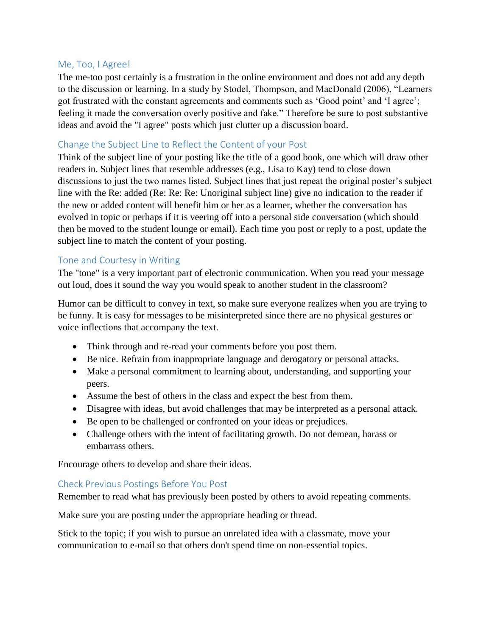#### Me, Too, I Agree!

The me-too post certainly is a frustration in the online environment and does not add any depth to the discussion or learning. In a study by Stodel, Thompson, and MacDonald (2006), "Learners got frustrated with the constant agreements and comments such as 'Good point' and 'I agree'; feeling it made the conversation overly positive and fake." Therefore be sure to post substantive ideas and avoid the "I agree" posts which just clutter up a discussion board.

# Change the Subject Line to Reflect the Content of your Post

Think of the subject line of your posting like the title of a good book, one which will draw other readers in. Subject lines that resemble addresses (e.g., Lisa to Kay) tend to close down discussions to just the two names listed. Subject lines that just repeat the original poster's subject line with the Re: added (Re: Re: Re: Unoriginal subject line) give no indication to the reader if the new or added content will benefit him or her as a learner, whether the conversation has evolved in topic or perhaps if it is veering off into a personal side conversation (which should then be moved to the student lounge or email). Each time you post or reply to a post, update the subject line to match the content of your posting.

# Tone and Courtesy in Writing

The "tone" is a very important part of electronic communication. When you read your message out loud, does it sound the way you would speak to another student in the classroom?

Humor can be difficult to convey in text, so make sure everyone realizes when you are trying to be funny. It is easy for messages to be misinterpreted since there are no physical gestures or voice inflections that accompany the text.

- Think through and re-read your comments before you post them.
- Be nice. Refrain from inappropriate language and derogatory or personal attacks.
- Make a personal commitment to learning about, understanding, and supporting your peers.
- Assume the best of others in the class and expect the best from them.
- Disagree with ideas, but avoid challenges that may be interpreted as a personal attack.
- Be open to be challenged or confronted on your ideas or prejudices.
- Challenge others with the intent of facilitating growth. Do not demean, harass or embarrass others.

Encourage others to develop and share their ideas.

# Check Previous Postings Before You Post

Remember to read what has previously been posted by others to avoid repeating comments.

Make sure you are posting under the appropriate heading or thread.

Stick to the topic; if you wish to pursue an unrelated idea with a classmate, move your communication to e-mail so that others don't spend time on non-essential topics.